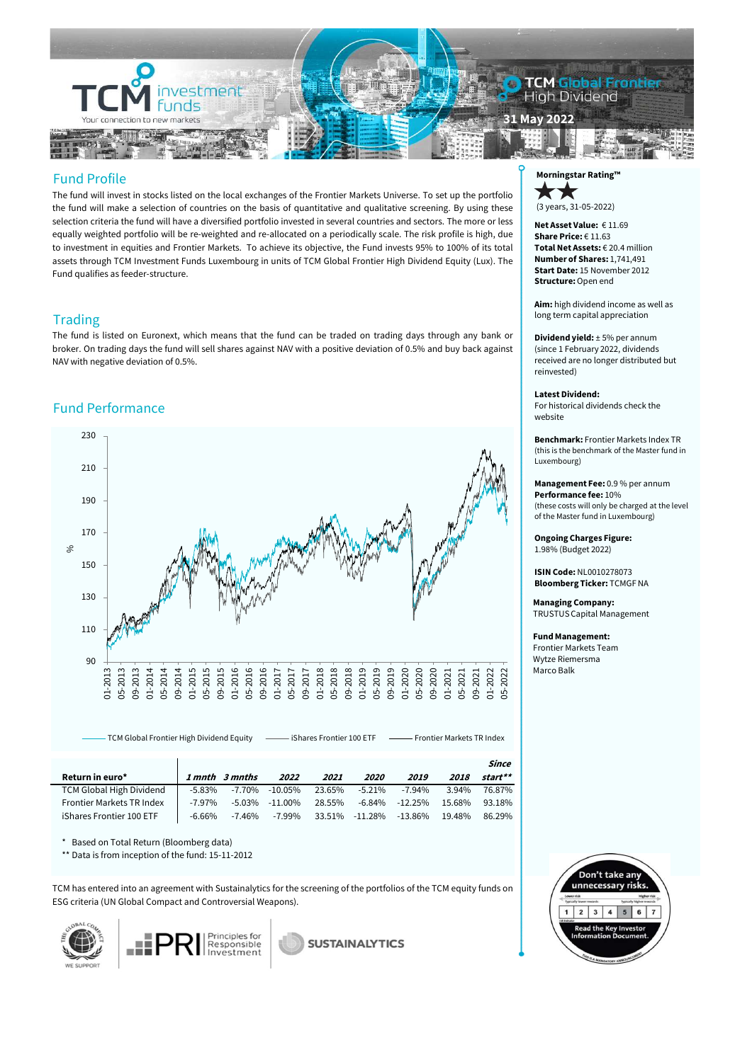

The fund will invest in stocks listed on the local exchanges of the Frontier Markets Universe. To set up the portfolio the fund will make a selection of countries on the basis of quantitative and qualitative screening. By using these selection criteria the fund will have a diversified portfolio invested in several countries and sectors. The more or less equally weighted portfolio will be re-weighted and re-allocated on a periodically scale. The risk profile is high, due to investment in equities and Frontier Markets. To achieve its objective, the Fund invests 95% to 100% of its total assets through TCM Investment Funds Luxembourg in units of TCM Global Frontier High Dividend Equity (Lux). The Fund qualifies as feeder-structure.

## **Trading**

The fund is listed on Euronext, which means that the fund can be traded on trading days through any bank or broker. On trading days the fund will sell shares against NAV with a positive deviation of 0.5% and buy back against NAV with negative deviation of 0.5%.

# Fund Performance



Since Return in euro\* 1 mnth 3 mnths <sup>2022</sup> <sup>2021</sup> <sup>2020</sup> <sup>2019</sup> <sup>2018</sup> start\*\* TCM Global High Dividend -5.83% -7.70% -10.05% 23.65% -5.21% -7.94% 3.94% 76.87% Frontier Markets TR Index -7.97% -5.03% -11.00% 28.55% -6.84% -12.25% 15.68% 93.18% iShares Frontier 100 ETF -6.66% -7.46% -7.99% 33.51% -11.28% -13.86% 19.48% 86.29%

TCM Global Frontier High Dividend Equity incomes Frontier 100 ETF incomes Frontier Markets TR Index

\* Based on Total Return (Bloomberg data)

\*\* Data is from inception of the fund: 15-11-2012

TCM has entered into an agreement with Sustainalytics for the screening of the portfolios of the TCM equity funds on ESG criteria (UN Global Compact and Controversial Weapons).





**SUSTAINALYTICS** 



Net Asset Value: € 11.69 Share Price: €11.63<br>Total Net Assets: €20.4 million Number of Shares: 1,741,491 Start Date: 15 November 2012 Structure: Open end Solutions, 31-05-2022)<br>
20 (3 years, 31-05-2022)<br>
Net Asset Value: € 11.69<br>
Share Price: € 11.63<br>
Total Net Assets: € 20.4 million<br>
Number of Shares: 1,741,491<br>
Structure: Open end<br>
Aim: high dividend income as well as<br>
l

Aim: high dividend income as well as long term capital appreciation

(since 1 February 2022, dividends received are no longer distributed but reinvested)

### Latest Dividend:

For historical dividends check the website

Benchmark: Frontier Markets Index TR (this is the benchmark of the Master fund in Luxembourg)

Management Fee: 0.9 % per annum Performance fee: 10% (these costs will only be charged at the level of the Master fund in Luxembourg)

Ongoing Charges Figure: 1.98% (Budget 2022)

ISIN Code: NL0010278073 Bloomberg Ticker: TCMGF NA

Managing Company: TRUSTUS Capital Management or the Master fund in Luxembourg<br> **Ongoing Charges Figure:**<br>
1.98% (Budget 2022)<br> **ISIN Code:** NL0010278073<br> **Bloomberg Ticker:** TCMGF NA<br> **Managing Company:**<br>
TRUSTUS Capital Management<br> **Fund Management:**<br>
Frontier Marke

### Fund Management:

Frontier Markets Team Wytze Riemersma